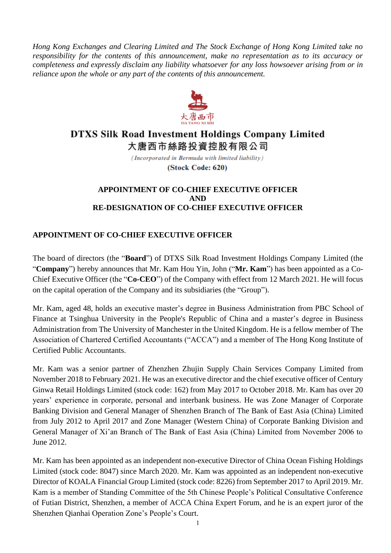*Hong Kong Exchanges and Clearing Limited and The Stock Exchange of Hong Kong Limited take no responsibility for the contents of this announcement, make no representation as to its accuracy or completeness and expressly disclaim any liability whatsoever for any loss howsoever arising from or in reliance upon the whole or any part of the contents of this announcement.*



# **DTXS Silk Road Investment Holdings Company Limited** 大唐西市絲路投資控股有限公司

(Incorporated in Bermuda with limited liability)

(Stock Code: 620)

### **APPOINTMENT OF CO-CHIEF EXECUTIVE OFFICER AND RE-DESIGNATION OF CO-CHIEF EXECUTIVE OFFICER**

## **APPOINTMENT OF CO-CHIEF EXECUTIVE OFFICER**

The board of directors (the "**Board**") of DTXS Silk Road Investment Holdings Company Limited (the "**Company**") hereby announces that Mr. Kam Hou Yin, John ("**Mr. Kam**") has been appointed as a Co-Chief Executive Officer (the "**Co-CEO**") of the Company with effect from 12 March 2021. He will focus on the capital operation of the Company and its subsidiaries (the "Group").

Mr. Kam, aged 48, holds an executive master's degree in Business Administration from PBC School of Finance at Tsinghua University in the People's Republic of China and a master's degree in Business Administration from The University of Manchester in the United Kingdom. He is a fellow member of The Association of Chartered Certified Accountants ("ACCA") and a member of The Hong Kong Institute of Certified Public Accountants.

Mr. Kam was a senior partner of Zhenzhen Zhujin Supply Chain Services Company Limited from November 2018 to February 2021. He was an executive director and the chief executive officer of Century Ginwa Retail Holdings Limited (stock code: 162) from May 2017 to October 2018. Mr. Kam has over 20 years' experience in corporate, personal and interbank business. He was Zone Manager of Corporate Banking Division and General Manager of Shenzhen Branch of The Bank of East Asia (China) Limited from July 2012 to April 2017 and Zone Manager (Western China) of Corporate Banking Division and General Manager of Xi'an Branch of The Bank of East Asia (China) Limited from November 2006 to June 2012.

Mr. Kam has been appointed as an independent non-executive Director of China Ocean Fishing Holdings Limited (stock code: 8047) since March 2020. Mr. Kam was appointed as an independent non-executive Director of KOALA Financial Group Limited (stock code: 8226) from September 2017 to April 2019. Mr. Kam is a member of Standing Committee of the 5th Chinese People's Political Consultative Conference of Futian District, Shenzhen, a member of ACCA China Expert Forum, and he is an expert juror of the Shenzhen Qianhai Operation Zone's People's Court.